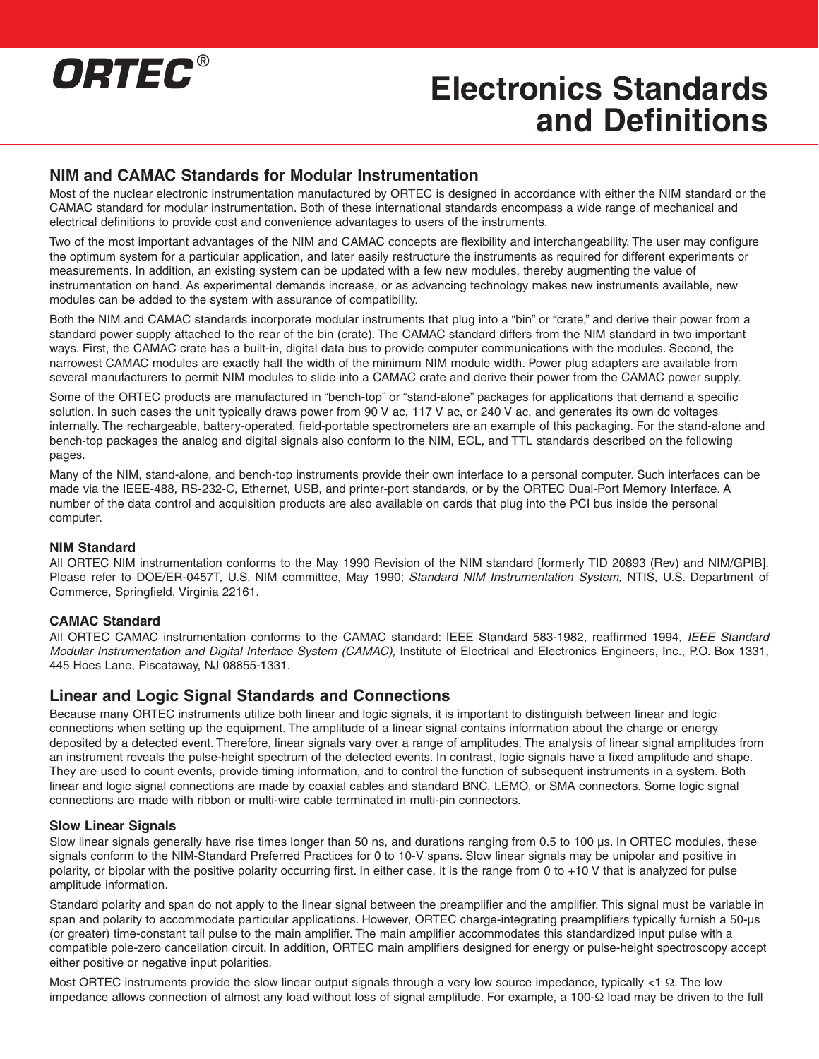

### **NIM and CAMAC Standards for Modular Instrumentation**

Most of the nuclear electronic instrumentation manufactured by ORTEC is designed in accordance with either the NIM standard or the CAMAC standard for modular instrumentation. Both of these international standards encompass a wide range of mechanical and electrical definitions to provide cost and convenience advantages to users of the instruments.

Two of the most important advantages of the NIM and CAMAC concepts are flexibility and interchangeability. The user may configure the optimum system for a particular application, and later easily restructure the instruments as required for different experiments or measurements. In addition, an existing system can be updated with a few new modules, thereby augmenting the value of instrumentation on hand. As experimental demands increase, or as advancing technology makes new instruments available, new modules can be added to the system with assurance of compatibility.

Both the NIM and CAMAC standards incorporate modular instruments that plug into a "bin" or "crate," and derive their power from a standard power supply attached to the rear of the bin (crate). The CAMAC standard differs from the NIM standard in two important ways. First, the CAMAC crate has a built-in, digital data bus to provide computer communications with the modules. Second, the narrowest CAMAC modules are exactly half the width of the minimum NIM module width. Power plug adapters are available from several manufacturers to permit NIM modules to slide into a CAMAC crate and derive their power from the CAMAC power supply.

Some of the ORTEC products are manufactured in "bench-top" or "stand-alone" packages for applications that demand a specific solution. In such cases the unit typically draws power from 90 V ac, 117 V ac, or 240 V ac, and generates its own dc voltages internally. The rechargeable, battery-operated, field-portable spectrometers are an example of this packaging. For the stand-alone and bench-top packages the analog and digital signals also conform to the NIM, ECL, and TTL standards described on the following pages.

Many of the NIM, stand-alone, and bench-top instruments provide their own interface to a personal computer. Such interfaces can be made via the IEEE-488, RS-232-C, Ethernet, USB, and printer-port standards, or by the ORTEC Dual-Port Memory Interface. A number of the data control and acquisition products are also available on cards that plug into the PCI bus inside the personal computer.

#### **NIM Standard**

All ORTEC NIM instrumentation conforms to the May 1990 Revision of the NIM standard [formerly TID 20893 (Rev) and NIM/GPIB]. Please refer to DOE/ER-0457T, U.S. NIM committee, May 1990; Standard NIM Instrumentation System, NTIS, U.S. Department of Commerce, Springfield, Virginia 22161.

#### **CAMAC Standard**

All ORTEC CAMAC instrumentation conforms to the CAMAC standard: IEEE Standard 583-1982, reaffirmed 1994, IEEE Standard Modular Instrumentation and Digital Interface System (CAMAC), Institute of Electrical and Electronics Engineers, Inc., P.O. Box 1331, 445 Hoes Lane, Piscataway, NJ 08855-1331.

### **Linear and Logic Signal Standards and Connections**

Because many ORTEC instruments utilize both linear and logic signals, it is important to distinguish between linear and logic connections when setting up the equipment. The amplitude of a linear signal contains information about the charge or energy deposited by a detected event. Therefore, linear signals vary over a range of amplitudes. The analysis of linear signal amplitudes from an instrument reveals the pulse-height spectrum of the detected events. In contrast, logic signals have a fixed amplitude and shape. They are used to count events, provide timing information, and to control the function of subsequent instruments in a system. Both linear and logic signal connections are made by coaxial cables and standard BNC, LEMO, or SMA connectors. Some logic signal connections are made with ribbon or multi-wire cable terminated in multi-pin connectors.

#### **Slow Linear Signals**

Slow linear signals generally have rise times longer than 50 ns, and durations ranging from 0.5 to 100 µs. In ORTEC modules, these signals conform to the NIM-Standard Preferred Practices for 0 to 10-V spans. Slow linear signals may be unipolar and positive in polarity, or bipolar with the positive polarity occurring first. In either case, it is the range from 0 to +10 V that is analyzed for pulse amplitude information.

Standard polarity and span do not apply to the linear signal between the preamplifier and the amplifier. This signal must be variable in span and polarity to accommodate particular applications. However, ORTEC charge-integrating preamplifiers typically furnish a 50-µs (or greater) time-constant tail pulse to the main amplifier. The main amplifier accommodates this standardized input pulse with a compatible pole-zero cancellation circuit. In addition, ORTEC main amplifiers designed for energy or pulse-height spectroscopy accept either positive or negative input polarities.

Most ORTEC instruments provide the slow linear output signals through a very low source impedance, typically <1 Ω. The low impedance allows connection of almost any load without loss of signal amplitude. For example, a 100-Ω load may be driven to the full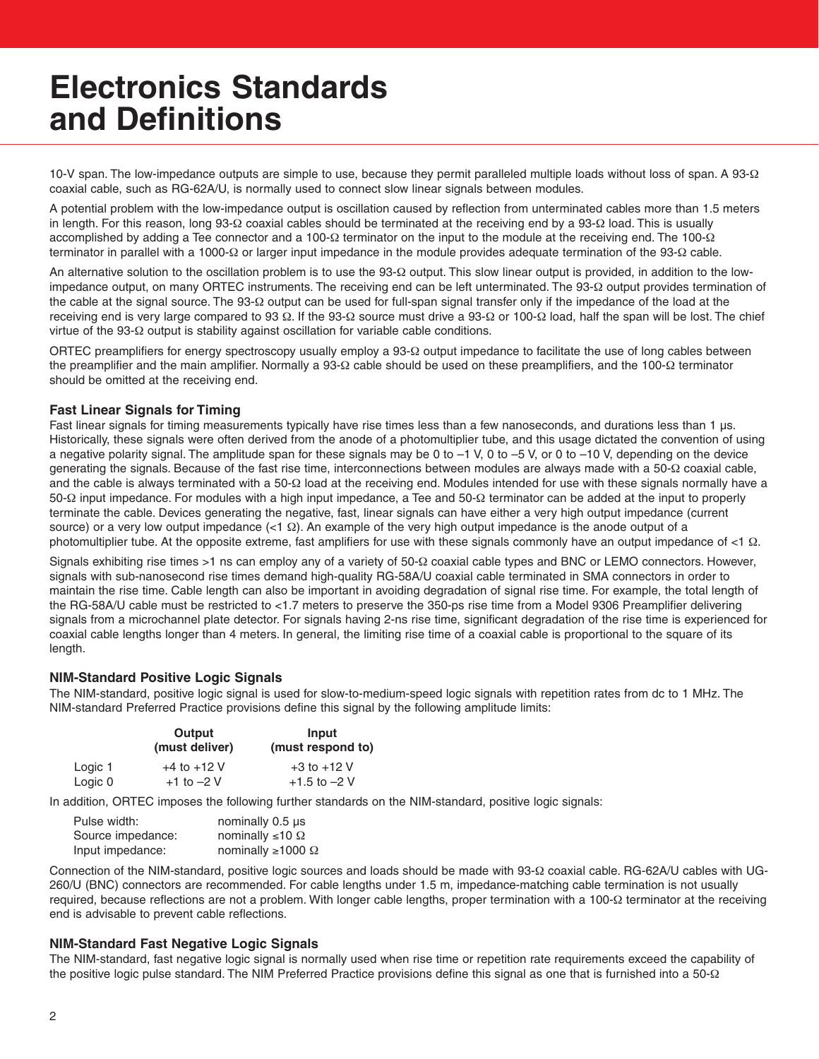10-V span. The low-impedance outputs are simple to use, because they permit paralleled multiple loads without loss of span. A 93-Ω coaxial cable, such as RG-62A/U, is normally used to connect slow linear signals between modules.

A potential problem with the low-impedance output is oscillation caused by reflection from unterminated cables more than 1.5 meters in length. For this reason, long 93-Ω coaxial cables should be terminated at the receiving end by a 93-Ω load. This is usually accomplished by adding a Tee connector and a 100-Ω terminator on the input to the module at the receiving end. The 100-Ω terminator in parallel with a 1000-Ω or larger input impedance in the module provides adequate termination of the 93-Ω cable.

An alternative solution to the oscillation problem is to use the 93-Ω output. This slow linear output is provided, in addition to the lowimpedance output, on many ORTEC instruments. The receiving end can be left unterminated. The 93-Ω output provides termination of the cable at the signal source. The 93-Ω output can be used for full-span signal transfer only if the impedance of the load at the receiving end is very large compared to 93 Ω. If the 93-Ω source must drive a 93-Ω or 100-Ω load, half the span will be lost. The chief virtue of the 93-Ω output is stability against oscillation for variable cable conditions.

ORTEC preamplifiers for energy spectroscopy usually employ a 93-Ω output impedance to facilitate the use of long cables between the preamplifier and the main amplifier. Normally a 93-Ω cable should be used on these preamplifiers, and the 100-Ω terminator should be omitted at the receiving end.

#### **Fast Linear Signals for Timing**

Fast linear signals for timing measurements typically have rise times less than a few nanoseconds, and durations less than 1 µs. Historically, these signals were often derived from the anode of a photomultiplier tube, and this usage dictated the convention of using a negative polarity signal. The amplitude span for these signals may be 0 to –1 V, 0 to –5 V, or 0 to –10 V, depending on the device generating the signals. Because of the fast rise time, interconnections between modules are always made with a 50-Ω coaxial cable, and the cable is always terminated with a 50-Ω load at the receiving end. Modules intended for use with these signals normally have a 50-Ω input impedance. For modules with a high input impedance, a Tee and 50-Ω terminator can be added at the input to properly terminate the cable. Devices generating the negative, fast, linear signals can have either a very high output impedance (current source) or a very low output impedance  $\langle$ <1  $\Omega$ ). An example of the very high output impedance is the anode output of a photomultiplier tube. At the opposite extreme, fast amplifiers for use with these signals commonly have an output impedance of  $<1$   $\Omega$ .

Signals exhibiting rise times >1 ns can employ any of a variety of 50-Ω coaxial cable types and BNC or LEMO connectors. However, signals with sub-nanosecond rise times demand high-quality RG-58A/U coaxial cable terminated in SMA connectors in order to maintain the rise time. Cable length can also be important in avoiding degradation of signal rise time. For example, the total length of the RG-58A/U cable must be restricted to <1.7 meters to preserve the 350-ps rise time from a Model 9306 Preamplifier delivering signals from a microchannel plate detector. For signals having 2-ns rise time, significant degradation of the rise time is experienced for coaxial cable lengths longer than 4 meters. In general, the limiting rise time of a coaxial cable is proportional to the square of its length.

#### **NIM-Standard Positive Logic Signals**

The NIM-standard, positive logic signal is used for slow-to-medium-speed logic signals with repetition rates from dc to 1 MHz. The NIM-standard Preferred Practice provisions define this signal by the following amplitude limits:

|         | Output<br>(must deliver) | Input<br>(must respond to) |
|---------|--------------------------|----------------------------|
| Logic 1 | $+4$ to $+12$ V          | $+3$ to $+12$ V            |
| Logic 0 | $+1$ to $-2$ V           | $+1.5$ to $-2$ V           |

In addition, ORTEC imposes the following further standards on the NIM-standard, positive logic signals:

| Pulse width:      | nominally 0.5 us             |
|-------------------|------------------------------|
| Source impedance: | nominally $\leq 10 \Omega$   |
| Input impedance:  | nominally $\geq 1000 \Omega$ |

Connection of the NIM-standard, positive logic sources and loads should be made with 93-Ω coaxial cable. RG-62A/U cables with UG-260/U (BNC) connectors are recommended. For cable lengths under 1.5 m, impedance-matching cable termination is not usually required, because reflections are not a problem. With longer cable lengths, proper termination with a 100-Ω terminator at the receiving end is advisable to prevent cable reflections.

#### **NIM-Standard Fast Negative Logic Signals**

The NIM-standard, fast negative logic signal is normally used when rise time or repetition rate requirements exceed the capability of the positive logic pulse standard. The NIM Preferred Practice provisions define this signal as one that is furnished into a 50-Ω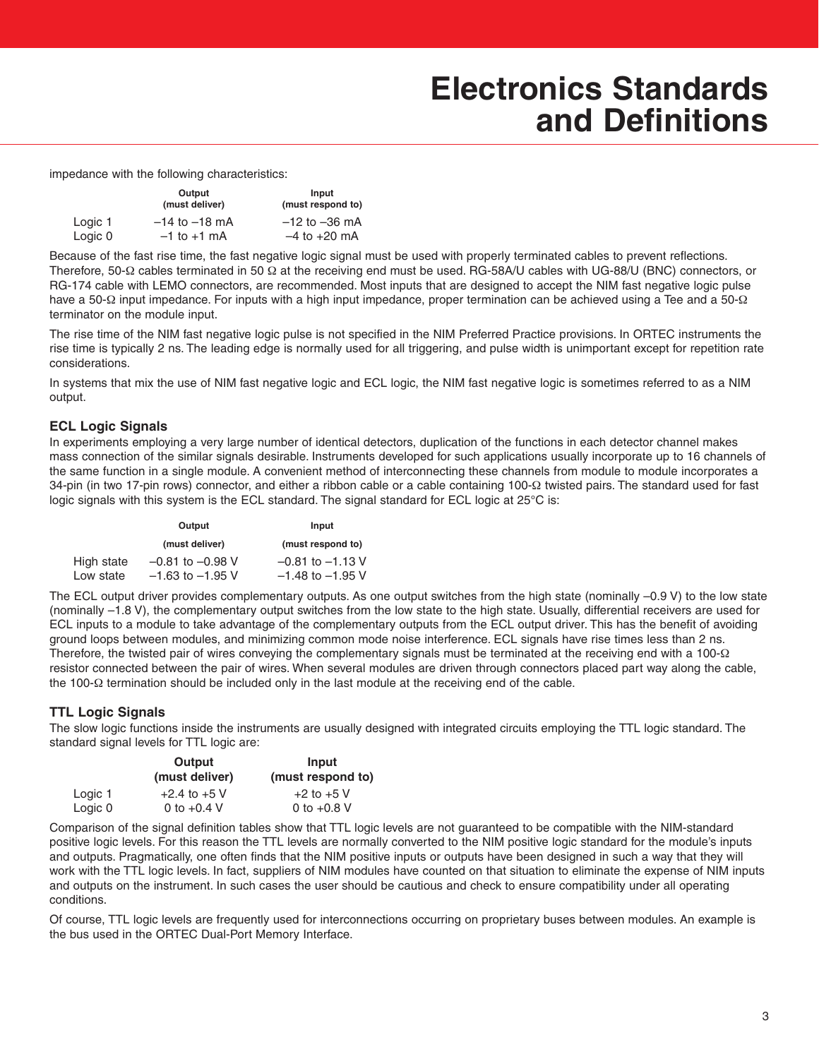impedance with the following characteristics:

|         | Output<br>(must deliver) | Input<br>(must respond to) |
|---------|--------------------------|----------------------------|
| Logic 1 | $-14$ to $-18$ mA        | $-12$ to $-36$ mA          |
| Logic 0 | $-1$ to $+1$ mA          | $-4$ to $+20$ mA           |

Because of the fast rise time, the fast negative logic signal must be used with properly terminated cables to prevent reflections. Therefore, 50-Ω cables terminated in 50 Ω at the receiving end must be used. RG-58A/U cables with UG-88/U (BNC) connectors, or RG-174 cable with LEMO connectors, are recommended. Most inputs that are designed to accept the NIM fast negative logic pulse have a 50-Ω input impedance. For inputs with a high input impedance, proper termination can be achieved using a Tee and a 50-Ω terminator on the module input.

The rise time of the NIM fast negative logic pulse is not specified in the NIM Preferred Practice provisions. In ORTEC instruments the rise time is typically 2 ns. The leading edge is normally used for all triggering, and pulse width is unimportant except for repetition rate considerations.

In systems that mix the use of NIM fast negative logic and ECL logic, the NIM fast negative logic is sometimes referred to as a NIM output.

### **ECL Logic Signals**

In experiments employing a very large number of identical detectors, duplication of the functions in each detector channel makes mass connection of the similar signals desirable. Instruments developed for such applications usually incorporate up to 16 channels of the same function in a single module. A convenient method of interconnecting these channels from module to module incorporates a 34-pin (in two 17-pin rows) connector, and either a ribbon cable or a cable containing 100-Ω twisted pairs. The standard used for fast logic signals with this system is the ECL standard. The signal standard for ECL logic at 25°C is:

|            | Output               | Input                |  |
|------------|----------------------|----------------------|--|
|            | (must deliver)       | (must respond to)    |  |
| High state | $-0.81$ to $-0.98$ V | $-0.81$ to $-1.13$ V |  |
| Low state  | $-1.63$ to $-1.95$ V | $-1.48$ to $-1.95$ V |  |

The ECL output driver provides complementary outputs. As one output switches from the high state (nominally –0.9 V) to the low state (nominally –1.8 V), the complementary output switches from the low state to the high state. Usually, differential receivers are used for ECL inputs to a module to take advantage of the complementary outputs from the ECL output driver. This has the benefit of avoiding ground loops between modules, and minimizing common mode noise interference. ECL signals have rise times less than 2 ns. Therefore, the twisted pair of wires conveying the complementary signals must be terminated at the receiving end with a 100-Ω resistor connected between the pair of wires. When several modules are driven through connectors placed part way along the cable, the 100-Ω termination should be included only in the last module at the receiving end of the cable.

#### **TTL Logic Signals**

The slow logic functions inside the instruments are usually designed with integrated circuits employing the TTL logic standard. The standard signal levels for TTL logic are:

|         | Output<br>(must deliver) | Input<br>(must respond to) |
|---------|--------------------------|----------------------------|
| Logic 1 | $+2.4$ to $+5$ V         | $+2$ to $+5$ V             |
| Logic 0 | 0 to $+0.4$ V            | 0 to $+0.8$ V              |

Comparison of the signal definition tables show that TTL logic levels are not guaranteed to be compatible with the NIM-standard positive logic levels. For this reason the TTL levels are normally converted to the NIM positive logic standard for the module's inputs and outputs. Pragmatically, one often finds that the NIM positive inputs or outputs have been designed in such a way that they will work with the TTL logic levels. In fact, suppliers of NIM modules have counted on that situation to eliminate the expense of NIM inputs and outputs on the instrument. In such cases the user should be cautious and check to ensure compatibility under all operating conditions.

Of course, TTL logic levels are frequently used for interconnections occurring on proprietary buses between modules. An example is the bus used in the ORTEC Dual-Port Memory Interface.